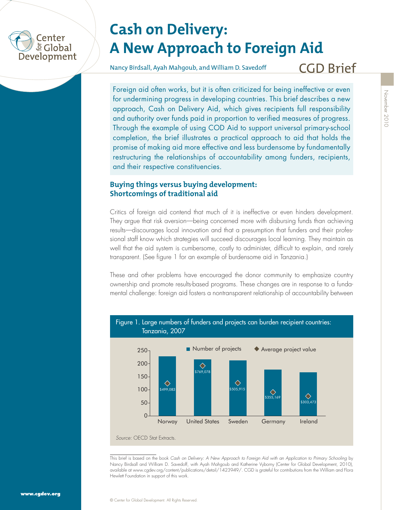

# **Cash on Delivery: A New Approach to Foreign Aid**

Nancy Birdsall, Ayah Mahgoub, and William D. Savedoff

CGD Brief

Foreign aid often works, but it is often criticized for being ineffective or even for undermining progress in developing countries. This brief describes a new approach, Cash on Delivery Aid, which gives recipients full responsibility and authority over funds paid in proportion to verified measures of progress. Through the example of using COD Aid to support universal primary-school completion, the brief illustrates a practical approach to aid that holds the promise of making aid more effective and less burdensome by fundamentally restructuring the relationships of accountability among funders, recipients, and their respective constituencies.

# **Buying things versus buying development: Shortcomings of traditional aid**

Critics of foreign aid contend that much of it is ineffective or even hinders development. They argue that risk aversion—being concerned more with disbursing funds than achieving results—discourages local innovation and that a presumption that funders and their professional staff know which strategies will succeed discourages local learning. They maintain as well that the aid system is cumbersome, costly to administer, difficult to explain, and rarely transparent. (See figure 1 for an example of burdensome aid in Tanzania.)

These and other problems have encouraged the donor community to emphasize country ownership and promote results-based programs. These changes are in response to a fundamental challenge: foreign aid fosters a nontransparent relationship of accountability between



This brief is based on the book *Cash on Delivery: A New Approach to Foreign Aid with an Application to Primary Schooling* by Nancy Birdsall and William D. Savedoff, with Ayah Mahgoub and Katherine Vyborny (Center for Global Development, 2010), available at www.cgdev.org/content/publications/detail/1423949/. CGD is grateful for contributions from the William and Flora Hewlett Foundation in support of this work.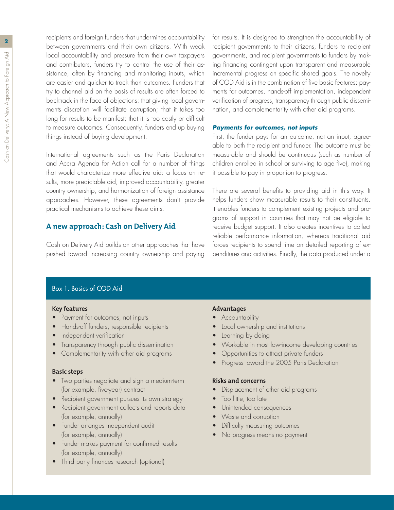recipients and foreign funders that undermines accountability between governments and their own citizens. With weak local accountability and pressure from their own taxpayers and contributors, funders try to control the use of their assistance, often by financing and monitoring inputs, which are easier and quicker to track than outcomes. Funders that try to channel aid on the basis of results are often forced to backtrack in the face of objections: that giving local governments discretion will facilitate corruption; that it takes too long for results to be manifest; that it is too costly or difficult to measure outcomes. Consequently, funders end up buying things instead of buying development.

International agreements such as the Paris Declaration and Accra Agenda for Action call for a number of things that would characterize more effective aid: a focus on results, more predictable aid, improved accountability, greater country ownership, and harmonization of foreign assistance approaches. However, these agreements don't provide practical mechanisms to achieve these aims.

#### **A new approach: Cash on Delivery Aid**

Cash on Delivery Aid builds on other approaches that have pushed toward increasing country ownership and paying for results. It is designed to strengthen the accountability of recipient governments to their citizens, funders to recipient governments, and recipient governments to funders by making financing contingent upon transparent and measurable incremental progress on specific shared goals. The novelty of COD Aid is in the combination of five basic features: payments for outcomes, hands-off implementation, independent verification of progress, transparency through public dissemination, and complementarity with other aid programs.

#### *Payments for outcomes, not inputs*

First, the funder pays for an outcome, not an input, agreeable to both the recipient and funder. The outcome must be measurable and should be continuous (such as number of children enrolled in school or surviving to age five), making it possible to pay in proportion to progress.

There are several benefits to providing aid in this way. It helps funders show measurable results to their constituents. It enables funders to complement existing projects and programs of support in countries that may not be eligible to receive budget support. It also creates incentives to collect reliable performance information, whereas traditional aid forces recipients to spend time on detailed reporting of expenditures and activities. Finally, the data produced under a

# Box 1. Basics of COD Aid

#### **Key features**

- Payment for outcomes, not inputs
- Hands-off funders, responsible recipients
- Independent verification
- Transparency through public dissemination
- Complementarity with other aid programs

#### **Basic steps**

- • Two parties negotiate and sign a medium-term (for example, five-year) contract
- Recipient government pursues its own strategy
- Recipient government collects and reports data (for example, annually)
- Funder arranges independent audit (for example, annually)
- Funder makes payment for confirmed results (for example, annually)
- Third party finances research (optional)

#### **Advantages**

- **Accountability**
- Local ownership and institutions
- Learning by doing
- Workable in most low-income developing countries
- Opportunities to attract private funders
- • Progress toward the 2005 Paris Declaration

#### **Risks and concerns**

- Displacement of other aid programs
- Too little, too late
- Unintended consequences
- Waste and corruption
- Difficulty measuring outcomes
- No progress means no payment

**2**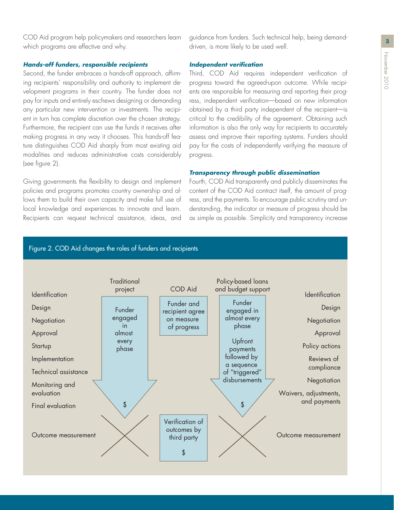**<sup>3</sup>** COD Aid program help policymakers and researchers learn guidance from funders. Such technical help, being demandwhich programs are effective and why.

#### *Hands-off funders, responsible recipients*

Second, the funder embraces a hands-off approach, affirming recipients' responsibility and authority to implement development programs in their country. The funder does not pay for inputs and entirely eschews designing or demanding any particular new intervention or investments. The recipient in turn has complete discretion over the chosen strategy. Furthermore, the recipient can use the funds it receives after making progress in any way it chooses. This hands-off feature distinguishes COD Aid sharply from most existing aid modalities and reduces administrative costs considerably (see figure 2).

Giving governments the flexibility to design and implement policies and programs promotes country ownership and allows them to build their own capacity and make full use of local knowledge and experiences to innovate and learn. Recipients can request technical assistance, ideas, and

driven, is more likely to be used well.

#### *Independent verification*

Third, COD Aid requires independent verification of progress toward the agreed-upon outcome. While recipients are responsible for measuring and reporting their progress, independent verification—based on new information obtained by a third party independent of the recipient—is critical to the credibility of the agreement. Obtaining such information is also the only way for recipients to accurately assess and improve their reporting systems. Funders should pay for the costs of independently verifying the measure of progress.

#### *Transparency through public dissemination*

Fourth, COD Aid transparently and publicly disseminates the content of the COD Aid contract itself, the amount of progress, and the payments. To encourage public scrutiny and understanding, the indicator or measure of progress should be as simple as possible. Simplicity and transparency increase

# Figure 2. COD Aid changes the roles of funders and recipients

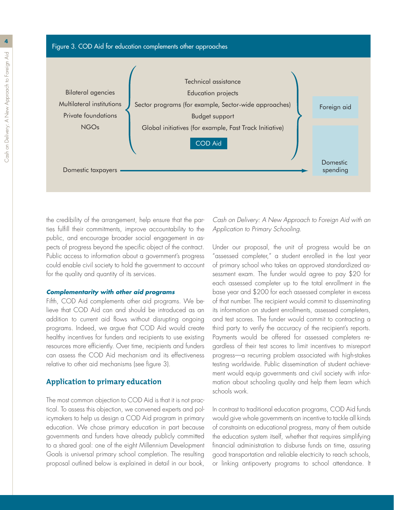



the credibility of the arrangement, help ensure that the parties fulfill their commitments, improve accountability to the public, and encourage broader social engagement in aspects of progress beyond the specific object of the contract. Public access to information about a government's progress could enable civil society to hold the government to account for the quality and quantity of its services.

#### *Complementarity with other aid programs*

Fifth, COD Aid complements other aid programs. We believe that COD Aid can and should be introduced as an addition to current aid flows without disrupting ongoing programs. Indeed, we argue that COD Aid would create healthy incentives for funders and recipients to use existing resources more efficiently. Over time, recipients and funders can assess the COD Aid mechanism and its effectiveness relative to other aid mechanisms (see figure 3).

## **Application to primary education**

The most common objection to COD Aid is that it is not practical. To assess this objection, we convened experts and policymakers to help us design a COD Aid program in primary education. We chose primary education in part because governments and funders have already publicly committed to a shared goal: one of the eight Millennium Development Goals is universal primary school completion. The resulting proposal outlined below is explained in detail in our book,

## *Cash on Delivery: A New Approach to Foreign Aid with an Application to Primary Schooling*.

Under our proposal, the unit of progress would be an "assessed completer," a student enrolled in the last year of primary school who takes an approved standardized assessment exam. The funder would agree to pay \$20 for each assessed completer up to the total enrollment in the base year and \$200 for each assessed completer in excess of that number. The recipient would commit to disseminating its information on student enrollments, assessed completers, and test scores. The funder would commit to contracting a third party to verify the accuracy of the recipient's reports. Payments would be offered for assessed completers regardless of their test scores to limit incentives to misreport progress—a recurring problem associated with high-stakes testing worldwide. Public dissemination of student achievement would equip governments and civil society with information about schooling quality and help them learn which schools work.

In contrast to traditional education programs, COD Aid funds would give whole governments an incentive to tackle all kinds of constraints on educational progress, many of them outside the education system itself, whether that requires simplifying financial administration to disburse funds on time, assuring good transportation and reliable electricity to reach schools, or linking antipoverty programs to school attendance. It

**4**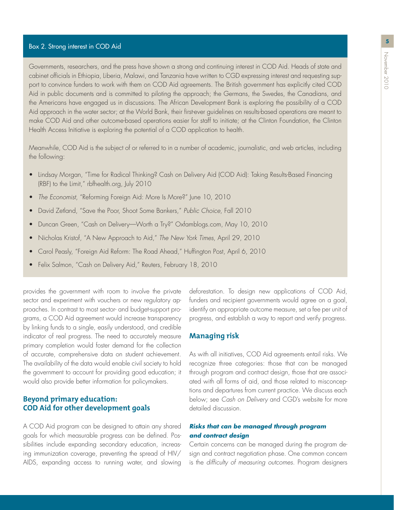#### Box 2. Strong interest in COD Aid

Governments, researchers, and the press have shown a strong and continuing interest in COD Aid. Heads of state and cabinet officials in Ethiopia, Liberia, Malawi, and Tanzania have written to CGD expressing interest and requesting support to convince funders to work with them on COD Aid agreements. The British government has explicitly cited COD Aid in public documents and is committed to piloting the approach; the Germans, the Swedes, the Canadians, and the Americans have engaged us in discussions. The African Development Bank is exploring the possibility of a COD Aid approach in the water sector; at the World Bank, their first-ever guidelines on results-based operations are meant to make COD Aid and other outcome-based operations easier for staff to initiate; at the Clinton Foundation, the Clinton Health Access Initiative is exploring the potential of a COD application to health.

Meanwhile, COD Aid is the subject of or referred to in a number of academic, journalistic, and web articles, including the following:

- • Lindsay Morgan, "Time for Radical Thinking? Cash on Delivery Aid (COD Aid): Taking Results-Based Financing (RBF) to the Limit," rbfhealth.org, July 2010
- *The Economist, "Reforming Foreign Aid: More Is More?" June 10, 2010*
- David Zetland, "Save the Poor, Shoot Some Bankers," Public Choice, Fall 2010
- Duncan Green, "Cash on Delivery—Worth a Try?" Oxfamblogs.com, May 10, 2010
- Nicholas Kristof, "A New Approach to Aid," The New York Times, April 29, 2010
- Carol Peasly, "Foreign Aid Reform: The Road Ahead," Huffington Post, April 6, 2010
- Felix Salmon, "Cash on Delivery Aid," Reuters, February 18, 2010

provides the government with room to involve the private sector and experiment with vouchers or new regulatory approaches. In contrast to most sector- and budget-support programs, a COD Aid agreement would increase transparency by linking funds to a single, easily understood, and credible indicator of real progress. The need to accurately measure primary completion would foster demand for the collection of accurate, comprehensive data on student achievement. The availability of the data would enable civil society to hold the government to account for providing good education; it would also provide better information for policymakers.

# **Beyond primary education: COD Aid for other development goals**

A COD Aid program can be designed to attain any shared goals for which measurable progress can be defined. Possibilities include expanding secondary education, increasing immunization coverage, preventing the spread of HIV/ AIDS, expanding access to running water, and slowing

deforestation. To design new applications of COD Aid, funders and recipient governments would agree on a goal, identify an appropriate outcome measure, set a fee per unit of progress, and establish a way to report and verify progress.

# **Managing risk**

As with all initiatives, COD Aid agreements entail risks. We recognize three categories: those that can be managed through program and contract design, those that are associated with all forms of aid, and those related to misconceptions and departures from current practice. We discuss each below; see *Cash on Delivery* and CGD's website for more detailed discussion.

#### *Risks that can be managed through program and contract design*

Certain concerns can be managed during the program design and contract negotiation phase. One common concern is the *difficulty of measuring outcomes*. Program designers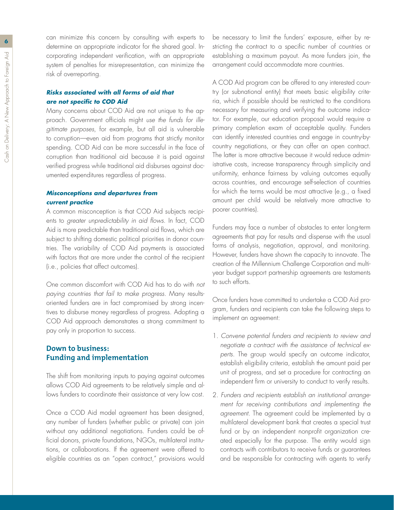**6** can minimize this concern by consulting with experts to determine an appropriate indicator for the shared goal. Incorporating independent verification, with an appropriate system of penalties for misrepresentation, can minimize the risk of overreporting.

# *Risks associated with all forms of aid that are not specific to COD Aid*

Many concerns about COD Aid are not unique to the approach. Government officials might *use the funds for illegitimate purposes*, for example, but all aid is vulnerable to corruption—even aid from programs that strictly monitor spending. COD Aid can be more successful in the face of corruption than traditional aid because it is paid against verified progress while traditional aid disburses against documented expenditures regardless of progress.

#### *Misconceptions and departures from current practice*

A common misconception is that COD Aid subjects recipients to *greater unpredictability in aid flows*. In fact, COD Aid is more predictable than traditional aid flows, which are subject to shifting domestic political priorities in donor countries. The variability of COD Aid payments is associated with factors that are more under the control of the recipient (i.e., policies that affect outcomes).

One common discomfort with COD Aid has to do with *not paying countries that fail to make progress*. Many resultsoriented funders are in fact compromised by strong incentives to disburse money regardless of progress. Adopting a COD Aid approach demonstrates a strong commitment to pay only in proportion to success.

# **Down to business: Funding and implementation**

The shift from monitoring inputs to paying against outcomes allows COD Aid agreements to be relatively simple and allows funders to coordinate their assistance at very low cost.

Once a COD Aid model agreement has been designed, any number of funders (whether public or private) can join without any additional negotiations. Funders could be official donors, private foundations, NGOs, multilateral institutions, or collaborations. If the agreement were offered to eligible countries as an "open contract," provisions would be necessary to limit the funders' exposure, either by restricting the contract to a specific number of countries or establishing a maximum payout. As more funders join, the arrangement could accommodate more countries.

A COD Aid program can be offered to any interested country (or subnational entity) that meets basic eligibility criteria, which if possible should be restricted to the conditions necessary for measuring and verifying the outcome indicator. For example, our education proposal would require a primary completion exam of acceptable quality. Funders can identify interested countries and engage in country-bycountry negotiations, or they can offer an open contract. The latter is more attractive because it would reduce administrative costs, increase transparency through simplicity and uniformity, enhance fairness by valuing outcomes equally across countries, and encourage self-selection of countries for which the terms would be most attractive (e.g., a fixed amount per child would be relatively more attractive to poorer countries).

Funders may face a number of obstacles to enter long-term agreements that pay for results and dispense with the usual forms of analysis, negotiation, approval, and monitoring. However, funders have shown the capacity to innovate. The creation of the Millennium Challenge Corporation and multiyear budget support partnership agreements are testaments to such efforts.

Once funders have committed to undertake a COD Aid program, funders and recipients can take the following steps to implement an agreement:

- 1. *Convene potential funders and recipients to review and negotiate a contract with the assistance of technical experts.* The group would specify an outcome indicator, establish eligibility criteria, establish the amount paid per unit of progress, and set a procedure for contracting an independent firm or university to conduct to verify results.
- 2. *Funders and recipients establish an institutional arrangement for receiving contributions and implementing the agreement.* The agreement could be implemented by a multilateral development bank that creates a special trust fund or by an independent nonprofit organization created especially for the purpose. The entity would sign contracts with contributors to receive funds or guarantees and be responsible for contracting with agents to verify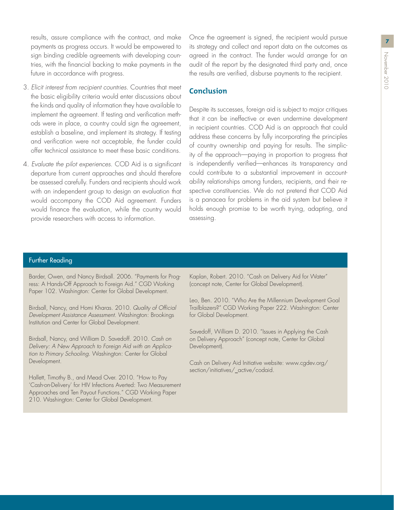payments as progress occurs. It would be empowered to sign binding credible agreements with developing countries, with the financial backing to make payments in the future in accordance with progress.

- 3. *Elicit interest from recipient countries.* Countries that meet the basic eligibility criteria would enter discussions about the kinds and quality of information they have available to implement the agreement. If testing and verification methods were in place, a country could sign the agreement, establish a baseline, and implement its strategy. If testing and verification were not acceptable, the funder could offer technical assistance to meet these basic conditions.
- 4. *Evaluate the pilot experiences.* COD Aid is a significant departure from current approaches and should therefore be assessed carefully. Funders and recipients should work with an independent group to design an evaluation that would accompany the COD Aid agreement. Funders would finance the evaluation, while the country would provide researchers with access to information.

results, assure compliance with the contract, and make Once the agreement is signed, the recipient would pursue its strategy and collect and report data on the outcomes as agreed in the contract. The funder would arrange for an audit of the report by the designated third party and, once the results are verified, disburse payments to the recipient.

# **Conclusion**

Despite its successes, foreign aid is subject to major critiques that it can be ineffective or even undermine development in recipient countries. COD Aid is an approach that could address these concerns by fully incorporating the principles of country ownership and paying for results. The simplicity of the approach—paying in proportion to progress that is independently verified—enhances its transparency and could contribute to a substantial improvement in accountability relationships among funders, recipients, and their respective constituencies. We do not pretend that COD Aid is a panacea for problems in the aid system but believe it holds enough promise to be worth trying, adapting, and assessing.

#### Further Reading

Barder, Owen, and Nancy Birdsall. 2006. "Payments for Progress: A Hands-Off Approach to Foreign Aid." CGD Working Paper 102. Washington: Center for Global Development.

Birdsall, Nancy, and Homi Kharas. 2010. *Quality of Official Development Assistance Assessment.* Washington: Brookings Institution and Center for Global Development.

Birdsall, Nancy, and William D. Savedoff. 2010. *Cash on Delivery: A New Approach to Foreign Aid with an Application to Primary Schooling.* Washington: Center for Global Development.

Hallett, Timothy B., and Mead Over. 2010. "How to Pay 'Cash-on-Delivery' for HIV Infections Averted: Two Measurement Approaches and Ten Payout Functions." CGD Working Paper 210. Washington: Center for Global Development.

Kaplan, Robert. 2010. "Cash on Delivery Aid for Water" (concept note, Center for Global Development).

Leo, Ben. 2010. "Who Are the Millennium Development Goal Trailblazers?" CGD Working Paper 222. Washington: Center for Global Development.

Savedoff, William D. 2010. "Issues in Applying the Cash on Delivery Approach" (concept note, Center for Global Development).

Cash on Delivery Aid Initiative website: [www.cgdev.org/](http://www.cgdev.org/section/initiatives/_active/codaid) [section/initiatives/\\_active/codaid.](http://www.cgdev.org/section/initiatives/_active/codaid)